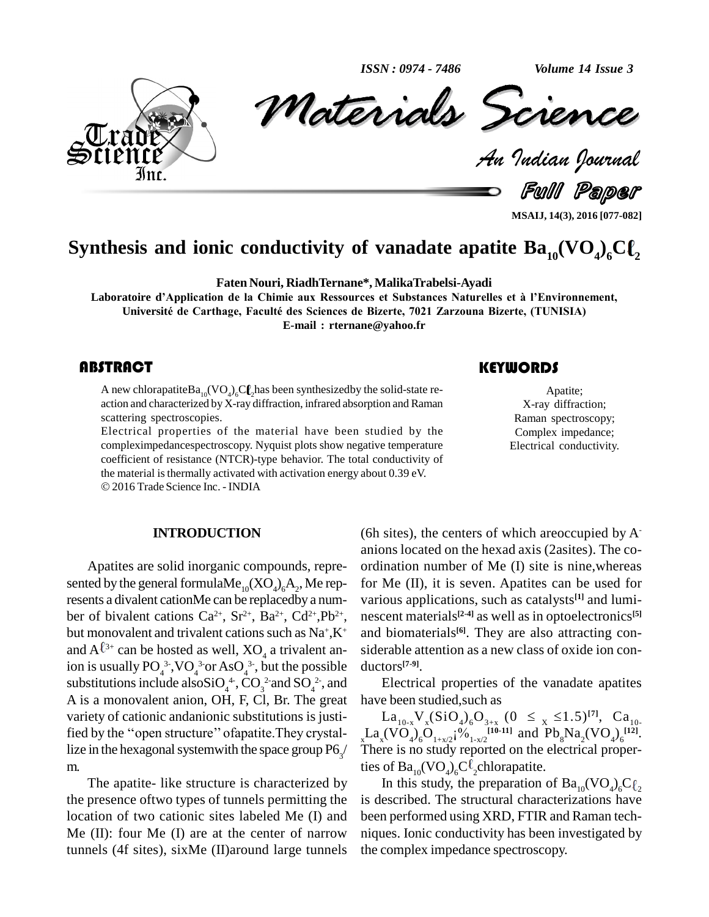**ISSN: 0974 - 7486** 

Volume 14 Issue 3



Materials Science

Fulll Paper

MSAIJ, 14(3), 2016 [077-082]

# Synthesis and ionic conductivity of vanadate apatite  $Ba_{10}(VO_4)_6Cl_2$

Faten Nouri, Riadh Ternane\*, Malika Trabelsi-Ayadi

Laboratoire d'Application de la Chimie aux Ressources et Substances Naturelles et à l'Environnement, Université de Carthage, Faculté des Sciences de Bizerte, 7021 Zarzouna Bizerte, (TUNISIA) E-mail: rternane@yahoo.fr

### **ABSTRACT**

A new chlorapatite  $Ba_{10}(VO_{a})_{c}Cl_{c}$  has been synthesized by the solid-state reaction and characterized by X-ray diffraction, infrared absorption and Raman scattering spectroscopies.

Electrical properties of the material have been studied by the compleximpedancespectroscopy. Nyquist plots show negative temperature coefficient of resistance (NTCR)-type behavior. The total conductivity of the material is thermally activated with activation energy about 0.39 eV. © 2016 Trade Science Inc. - INDIA

#### **INTRODUCTION**

Apatites are solid inorganic compounds, represented by the general formula $Me_{10}(XO_4)_6A_2$ , Me represents a divalent cationMe can be replacedby a number of bivalent cations  $Ca^{2+}$ ,  $Sr^{2+}$ ,  $Ba^{2+}$ ,  $Cd^{2+}$ ,  $Pb^{2+}$ , but monovalent and trivalent cations such as Na+,K+ and  $A^{\ell_{3+}}$  can be hosted as well,  $XO_{\ell_4}$  a trivalent anion is usually  $PO_4^{3.}$ , VO<sub>4</sub><sup>3</sup> or AsO<sub>4</sub><sup>3</sup>, but the possible substitutions include also  $SiO<sub>4</sub><sup>4</sup>$ ,  $CO<sub>3</sub><sup>2</sup>$  and  $SO<sub>4</sub><sup>2</sup>$ , and A is a monovalent anion, OH, F, Cl, Br. The great variety of cationic andanionic substitutions is justified by the "open structure" of apatite. They crystallize in the hexagonal system with the space group  $P6<sub>2</sub>$ m.

The apatite- like structure is characterized by the presence of two types of tunnels permitting the location of two cationic sites labeled Me (I) and Me  $(II)$ : four Me  $(I)$  are at the center of narrow tunnels (4f sites), sixMe (II) around large tunnels

## (6h sites), the centers of which are occupied by  $A^$ anions located on the hexad axis (2 as ites). The coordination number of Me (I) site is nine, whereas for Me (II), it is seven. Apatites can be used for various applications, such as catalysts<sup>[1]</sup> and luminescent materials<sup>[2-4]</sup> as well as in optoelectronics<sup>[5]</sup> and biomaterials<sup>[6]</sup>. They are also attracting considerable attention as a new class of oxide ion conductors<sup>[7-9]</sup>.

Electrical properties of the vanadate apatities have been studied, such as

La<sub>10-x</sub>V<sub>x</sub>(SiO<sub>4</sub>)<sub>6</sub>O<sub>3+x</sub> (0 ≤ <sub>x</sub> ≤1.5)<sup>[7]</sup>, Ca<sub>10-</sub><br>xLa<sub>x</sub>(VO<sub>4</sub>)<sub>6</sub>O<sub>1+x/2</sub><sup>19</sup><sup>6</sup><sub>1-x/2</sub><sup>110-11]</sup> and Pb<sub>8</sub>Na<sub>2</sub>(VO<sub>4</sub>)<sub>6</sub><sup>121</sup>. There is no study reported on the electrical properties of  $Ba_{10}(VO_A)_6C^{\ell}$ , chlorapatite.

In this study, the preparation of  $Ba_{10}(VO_{a})_{6}C_{a}$ is described. The structural characterizations have been performed using XRD, FTIR and Raman techniques. Ionic conductivity has been investigated by the complex impedance spectroscopy.

### **KEYWORDS**

Apatite; X-ray diffraction; Raman spectroscopy; Complex impedance; Electrical conductivity.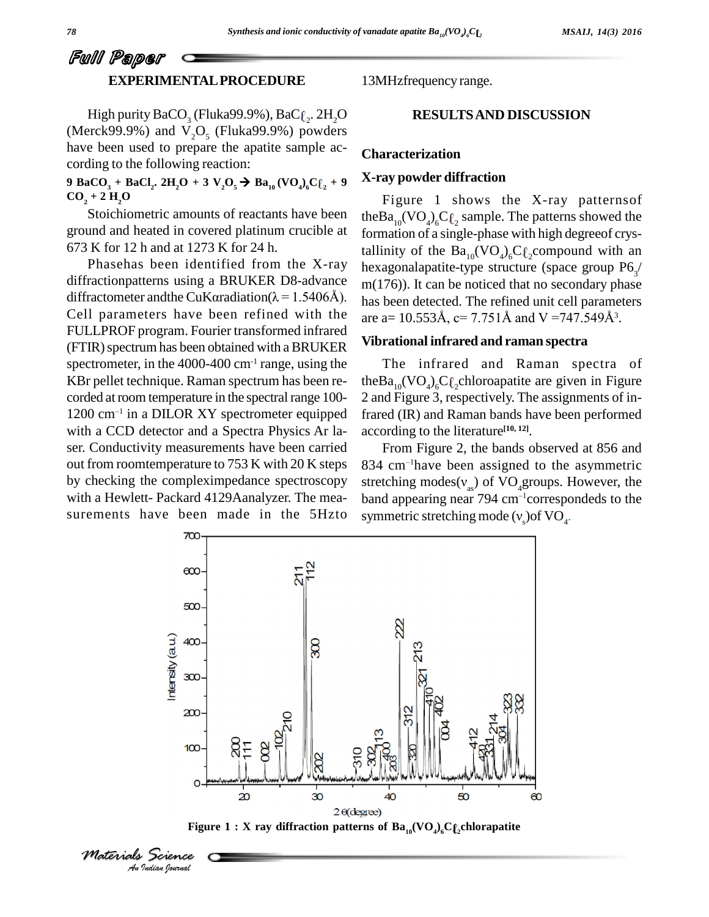# Full Paper **EXPERIMENTALPROCEDURE**

High purity BaCO<sub>3</sub> (Fluka99.9%), BaC $\ell_2$ . 2H<sub>2</sub>O (Merck99.9%) and  $V_2O_5$  (Fluka99.9%) powders have been used to prepare the apatite sample ac cording to the following reaction:

9 BaCO<sub>3</sub> + BaCl<sub>2</sub>. 2H<sub>2</sub>O + 3 V<sub>2</sub>O<sub>5</sub>  $\rightarrow$  Ba<sub>10</sub> (VO<sub>4</sub>)<sub>6</sub>C $\ell_2$  + 9 A-Fa  $CO_2 + 2H_2O$ 

Stoichiometric amounts of reactants have been ground and heated in covered platinum crucible at 673 K for 12 h and at 1273 K for 24 h.

Phasehas been identified from the X-ray diffractionpatterns using a BRUKER D8-advance  $m(17)$ Phasehas been identified from the X-ray<br>diffractionpatterns using a BRUKER D8-advance<br>diffractometer and the CuKaradiation( $\lambda$ =1.5406Å). Cell parameters have been refined with the FULLPROF program. Fourier transformed infrared (FTIR) spectrum has been obtained with a BRUKER spectrometer, in the  $4000-400$  cm<sup>-1</sup> range, using the KBr pellet technique. Raman spectrum has been re corded at room temperature in the spectral range 100corded at room temperature in the spectral range  $100-2$  and  $\overline{1}$ <br>1200 cm<sup>-1</sup> in a DILOR XY spectrometer equipped frared with a CCD detector and a Spectra Physics Ar la ser. Conductivity measurements have been carried out from roomtemperature to 753 K with 20 K steps by checking the compleximpedance spectroscopy surements have been made in the 5Hzto

13MHzfrequency range.

#### **RESULTSAND DISCUSSION**

#### **Characterization**

#### **X-ray powder diffraction**

Figure 1 shows the X-ray patternsof the $Ba_{10}(VO_4)_6C\ell_2$  sample. The patterns showed the formation of a single-phase with high degreeof crystallinity of the  $Ba_{10}(VO_4)_6C\ell_2$ compound with an hexagonalapatite-type structure (space group  $P6_{3}$ / m(176)). It can be noticed that no secondary phase has been detected. The refined unit cell parameters m(176)). It can be noticed that no secondary phase<br>has been detected. The refined unit cell parameters<br>are a=  $10.553\text{\AA}$ , c=  $7.751\text{\AA}$  and  $V = 747.549\text{\AA}^3$ . are a= 10.553Å, c= 7.751Å and V = 747.549Å<sup>3</sup>.

#### **Vibrational infrared and raman spectra**

The infrared and Raman spectra of theBa<sub>10</sub>(VO<sub>4</sub>)<sub>6</sub>C $\ell_2$ chloroapatite are given in Figure 2 and Figure 3, respectively. The assignments of infrared (IR) and Raman bands have been performed according to the literature **[10, 12]**.

with a Hewlett- Packard 4129Aanalyzer. The mea- band appearing near 794 cm<sup>-1</sup>correspondeds to the From Figure 2, the bands observed at 856 and  $834$  cm<sup>-1</sup>have been assigned to the asymmetric From Figure 2, the bands observed at 856 and 834 cm<sup>-1</sup>have been assigned to the asymmetric stretching modes( $v_{as}$ ) of VO<sub>4</sub>groups. However, the stretching modes( $v_{as}$ ) of  $VO_4$ groups. However, the<br>band appearing near 794 cm<sup>-1</sup>correspondeds to the<br>symmetric stretching mode ( $v_s$ )of  $VO_4$ . symmetric stretching mode  $(v_{s})$  of VO<sub>4</sub>.



**Figure**  $1:$  **X** ray diffraction patterns of  $\text{Ba}_{10}(\text{VO}_4)_{6}\text{Cf}_2$ chlorapatite

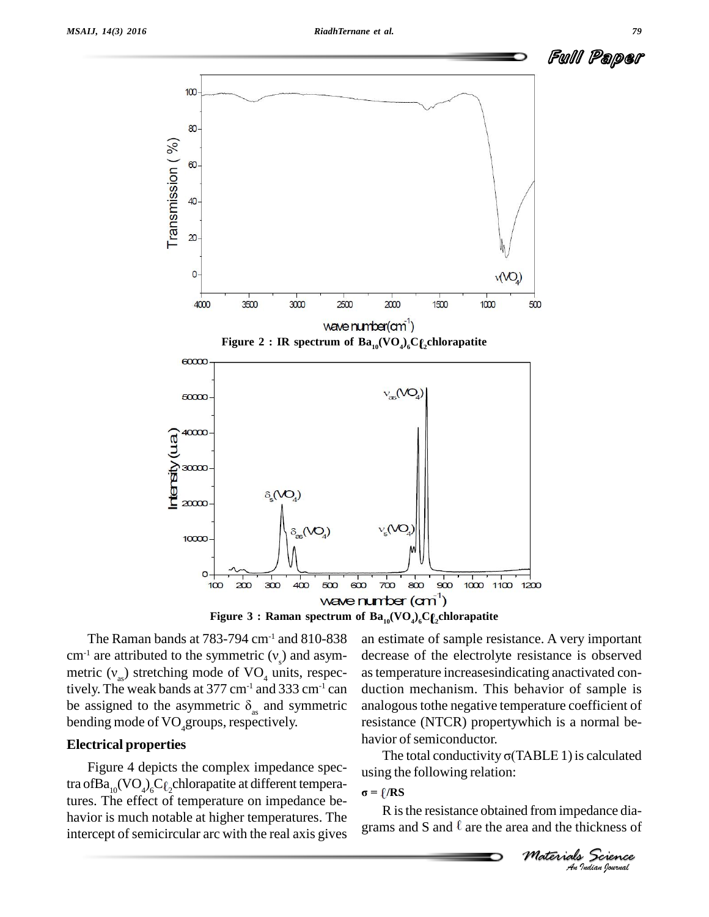



**Figure 3 : Raman spectrum of Ba10(VO4) <sup>6</sup>C <sup>2</sup>chlorapatite**

The Raman bands at  $783-794$  cm<sup>-1</sup> and  $810-838$ cm<sup>-1</sup> are attributed to the symmetric ( $v_s$ ) and asymmetric ( $v_{ss}$ ) stretching mode of VO<sub>4</sub> units, respectively. The weak bands at 377 cm<sup>-1</sup> and 333 cm<sup>-1</sup> can duction metric ( $v_{as}$ ) stretching mode of VO<sub>4</sub> units, respec- as ten<br>tively. The weak bands at 377 cm<sup>-1</sup> and 333 cm<sup>-1</sup> can ductio<br>be assigned to the asymmetric  $\delta_{as}$  and symmetric analog bending mode of  $VO_4$ groups, respectively.

#### **Electrical properties**

Figure 4 depicts the complex impedance spectra of $\text{Ba}_{_{10}}\text{(VO$_4$)_6C$_6$-chlorapatite at different tempera-}$ tures. The effect of temperature on impedance be-<br> $\sigma = \ell / RS$ havior is much notable at higher temperatures. The intercept of semicircular arc with the real axis gives

an estimate of sample resistance. A very important decrease of the electrolyte resistance is observed astemperature increasesindicating anactivated con duction mechanism. This behavior of sample is analogous tothe negative temperature coefficient of resistance (NTCR) propertywhich is a normal be havior of semiconductor.

The total conductivity  $\sigma$ (TABLE 1) is calculated using the following relation:<br>  $\sigma = \ell / RS$ 

*M M Indiana Materials Science*<br> *Materials Science*<br> *An Indian bouwal* R isthe resistance obtained from impedance dia grams and S and  $\ell$  are the area and the thickness of

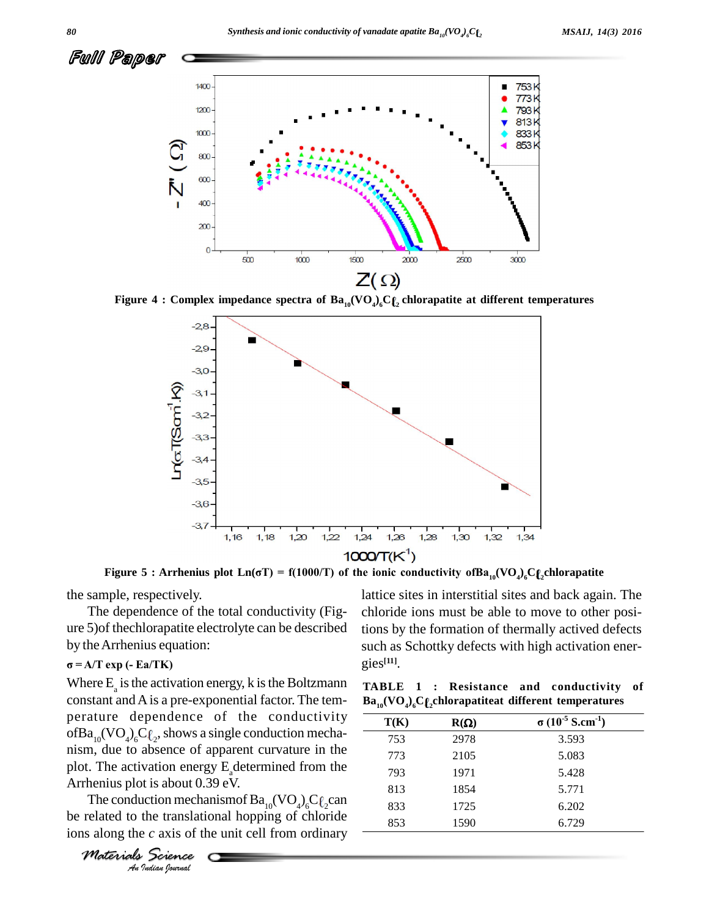

**Figure 4** : Complex impedance spectra of  $Ba_{10}(VO_4)_6C\ell_2$  chlorapatite at different temperatures



the sample, respectively.

The dependence of the total conductivity (Fig ure 5)of thechlorapatite electrolyte can be described **Û**by theArrhenius equation: **<sup>=</sup> A/T exp (- Ea/TK)**

plot. The activation energy  $E_a$  determined from the  $\frac{793}{2}$ Where  $E_a$  is the activation energy, k is the Boltzmann constant andAis a pre-exponential factor. The tem perature dependence of the conductivity ofBa<sub>10</sub>(VO<sub>4</sub>)<sub>6</sub>C $\ell_2$ , shows a single conduction mechanism, due to absence of apparent curvature in the Arrhenius plot is about 0.39 eV.

*Indian* energy<br>*Indian Indian*<br>*Indian Josepher*<br>*Indian Ignarial* The conduction mechanismof  $Ba_{10}(VO_4)_6C\ell_2$ can be related to the translational hopping of chloride ions along the *c* axis of the unit cell from ordinary

*Materials Science*

lattice sites in interstitial sites and back again. The chloride ions must be able to move to other positions by the formation of thermally actived defects such as Schottky defects with high activation ener gies **[11]**.

**Example 1 C. Resistance** and **Conductivity**<br> **EXAMPLE 1 C. RESISTANCE AND <b>EXAMPLE 1 CONDUCTIVITY**<br> **EXAMPLE 1 C. RESISTANCE AND <b>EXAMPLE 1 CONDUCTIVITY TABLE 1 : Resistance and conductivity of**

| T(K) | $R(\Omega)$ | $\sigma$ (10 <sup>-5</sup> S.cm <sup>-1</sup> ) |  |
|------|-------------|-------------------------------------------------|--|
| 753  | 2978        | 3.593                                           |  |
| 773  | 2105        | 5.083                                           |  |
| 793  | 1971        | 5.428                                           |  |
| 813  | 1854        | 5.771                                           |  |
| 833  | 1725        | 6.202                                           |  |
| 853  | 1590        | 6.729                                           |  |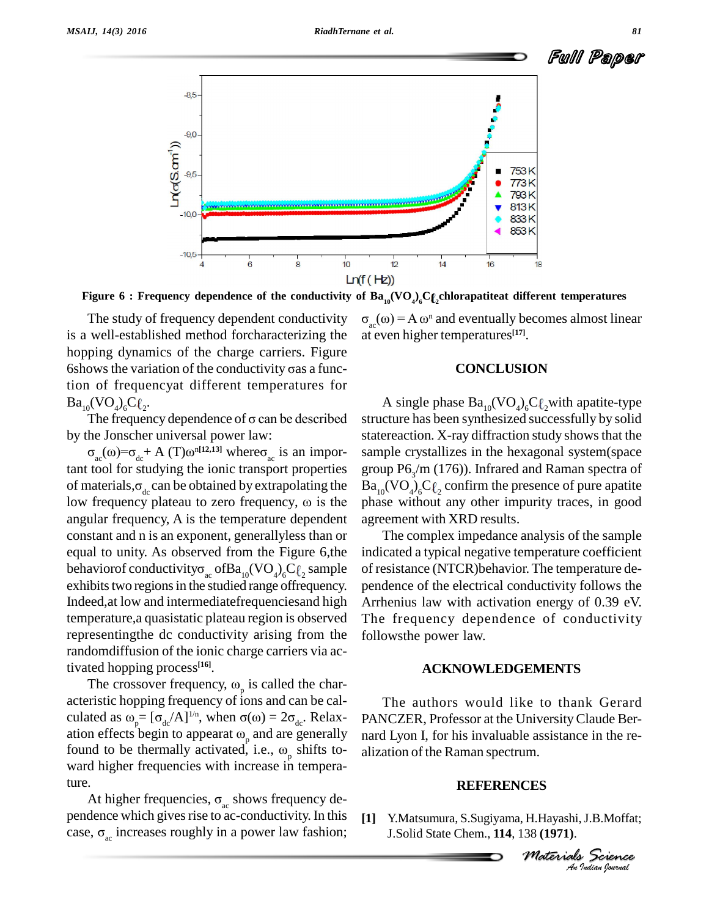

Figure 6 : Frequency dependence of the conductivity of  ${\bf Ba}_{10}({\bf V}{\bf O}_4)_6{\bf C}\ell_2$ chlorapatiteat different temperatures

The study of frequency dependent conductivity is a well-established method forcharacterizing the at eve<br>hopping dynamics of the charge carriers. Figure<br>6shows the variation of the conductivity σas a funchopping dynamics of the charge carriers. Figure tion of frequencyat different temperatures for<br>  $Ba_{10}(VO_4)_6C_{\ell_2}$ . A s<br>
The frequency dependence of  $\sigma$  can be described structure  $Ba_{10}(VO_4)_6C_{\ell_2}.$ 

by the Jonscher universal power law: The frequency dependence of  $\sigma$  can be described The frequency dependence of σ can be described<br>
e Jonscher universal power law:<br>
<sub>ac</sub>(ω)=σ<sub>dc</sub>+ A (T)ω<sup>n[12,13]</sup> whereσ<sub>ac</sub> is an impor-

tant tool for studying the ionic transport properties  $\sigma_{ac}(\omega) = \sigma_{dc} + A(T)\omega^{n[12,13]}$  where  $\sigma_{ac}$  is an impor-<br>tant tool for studying the ionic transport properties group<br>of materials,  $\sigma_{dc}$  can be obtained by extrapolating the  $Ba_{10}$ ( tant tool for studying the ionic transport properties group<br>of materials,  $\sigma_{dc}$  can be obtained by extrapolating the  $Ba_{10}$ <br>low frequency plateau to zero frequency,  $\omega$  is the phase angular frequency, A is the temperature dependent constant and n is an exponent, generallyless than or equal to unity. As observed from the Figure 6,the constant and n is an exponent, generallyless than or<br>equal to unity. As observed from the Figure 6,the indica<br>behavior conductivity  $\sigma_{ac}$  of  $Ba_{10}(VO_4)_6C\ell_2$  sample of res exhibits two regions in the studied range offrequency. Indeed,at low and intermediatefrequenciesand high temperature,a quasistatic plateau region is observed representingthe dc conductivity arising from the randomdiffusion of the ionic charge carriers via activated hopping process **[16]**.

dom diffusion of the ionic charge carriers via acted hopping process<sup>[16]</sup>.<br>The crossover frequency,  $\omega_p$  is called the char-<br>ristic hopping frequency of ions and can be cal-<br>ited as  $\omega_p = [\sigma_{dc}/A]^{1/n}$ , when  $\sigma(\omega) = 2\sigma_{dc$ acteristic hopping frequency of ions and can be cal- The crossover frequency,  $\omega_p$  is called the char-<br>acteristic hopping frequency of ions and can be cal-<br>culated as  $\omega = [\sigma_{dc}/A]^{1/n}$ , when  $\sigma(\omega) = 2\sigma_{dc}$ . Relaxacteristic hopping frequency of ions and can l<br>culated as  $\omega_p = [\sigma_{dc}/A]^{1/n}$ , when  $\sigma(\omega) = 2\sigma_{dc}$ . l<br>ation effects begin to appearat  $\omega_n$  and are ger  $_{p}$  and are generally nard L culated as  $\omega_p = [\sigma_{dc}/A]^{1/n}$ , when  $\sigma(\omega) = 2\sigma_{dc}$ . Relaxation effects begin to appearat  $\omega_p$  and are generally found to be thermally activated, i.e.,  $\omega_p$  shifts to-<sub>p</sub> shifts to- aliz ward higher frequencies with increase in temperaward higher frequencies with increase in tempera-<br>ture.<br>At higher frequencies,  $\sigma_{ac}$  shows frequency de-<br>pendence which gives rise to ac-conductivity. In this [1]

At higher frequencies,  $\sigma_{ac}$  shows frequency dependence which gives rise to ac-conductivity. In this [1] case,  $\sigma_{ac}$  increases roughly in a power law fashion;

( $\mathsf{FZ}$ ))<br>  $\mathbf{Ba}_{10}(\mathbf{VO}_4)_6\mathbf{C}$  ( $\mathsf{C}_2$ chlorapatiteat different temperatures<br>  $\mathbf{a}_\text{ac}(\omega) = \mathbf{A} \omega^n$  and eventually becomes almost linear at even higher temperatures **[17]**.

#### **CONCLUSION**

A single phase  $Ba_{10}(VO_4)_6C\ell_2$  with apatite-type structure has been synthesized successfully by solid statereaction. X-ray diffraction study shows that the sample crystallizes in the hexagonal system(space group  $P6_{3}/m$  (176)). Infrared and Raman spectra of  $Ba_{10}(VO_4)_6C\ell_2$  confirm the presence of pure apatite phase without any other impurity traces, in good agreement with XRD results.

The complex impedance analysis of the sample indicated a typical negative temperature coefficient of resistance (NTCR)behavior.The temperature de pendence of the electrical conductivity follows the Arrhenius law with activation energy of  $0.39$  eV. The frequency dependence of conductivity followsthe power law.

#### **ACKNOWLEDGEMENTS**

The authors would like to thank Gerard PANCZER, Professor at the UniversityClaude Ber nard Lyon I, for his invaluable assistance in the re alization of the Raman spectrum.

#### **REFERENCES**

*CES<br>
, H.Hayashi, J.B.Moffat;<br>
38 (1971).<br>
<i>Moterials Science*<br> *An* Judian Iownal **[1]** Y.Matsumura, S.Sugiyama, H.Hayashi,J.B.Moffat; J.Solid State Chem., **114**, 138 **(1971)**.